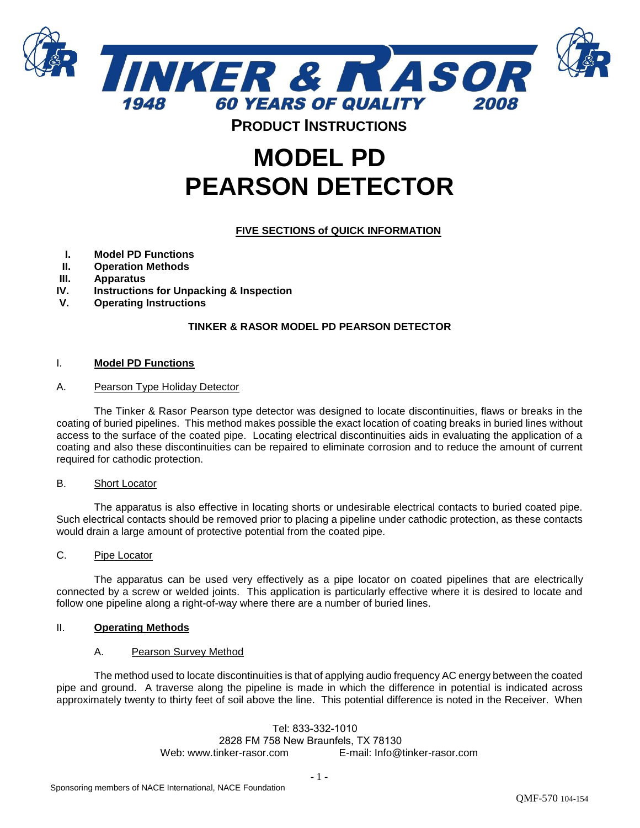

# **MODEL PD PEARSON DETECTOR**

# **FIVE SECTIONS of QUICK INFORMATION**

- **I. Model PD Functions**
- **II. Operation Methods**
- **III. Apparatus**
- **IV. Instructions for Unpacking & Inspection**
- **V. Operating Instructions**

# **TINKER & RASOR MODEL PD PEARSON DETECTOR**

#### I. **Model PD Functions**

#### A. Pearson Type Holiday Detector

The Tinker & Rasor Pearson type detector was designed to locate discontinuities, flaws or breaks in the coating of buried pipelines. This method makes possible the exact location of coating breaks in buried lines without access to the surface of the coated pipe. Locating electrical discontinuities aids in evaluating the application of a coating and also these discontinuities can be repaired to eliminate corrosion and to reduce the amount of current required for cathodic protection.

# B. Short Locator

The apparatus is also effective in locating shorts or undesirable electrical contacts to buried coated pipe. Such electrical contacts should be removed prior to placing a pipeline under cathodic protection, as these contacts would drain a large amount of protective potential from the coated pipe.

# C. Pipe Locator

The apparatus can be used very effectively as a pipe locator on coated pipelines that are electrically connected by a screw or welded joints. This application is particularly effective where it is desired to locate and follow one pipeline along a right-of-way where there are a number of buried lines.

# II. **Operating Methods**

# A. Pearson Survey Method

The method used to locate discontinuities is that of applying audio frequency AC energy between the coated pipe and ground. A traverse along the pipeline is made in which the difference in potential is indicated across approximately twenty to thirty feet of soil above the line. This potential difference is noted in the Receiver. When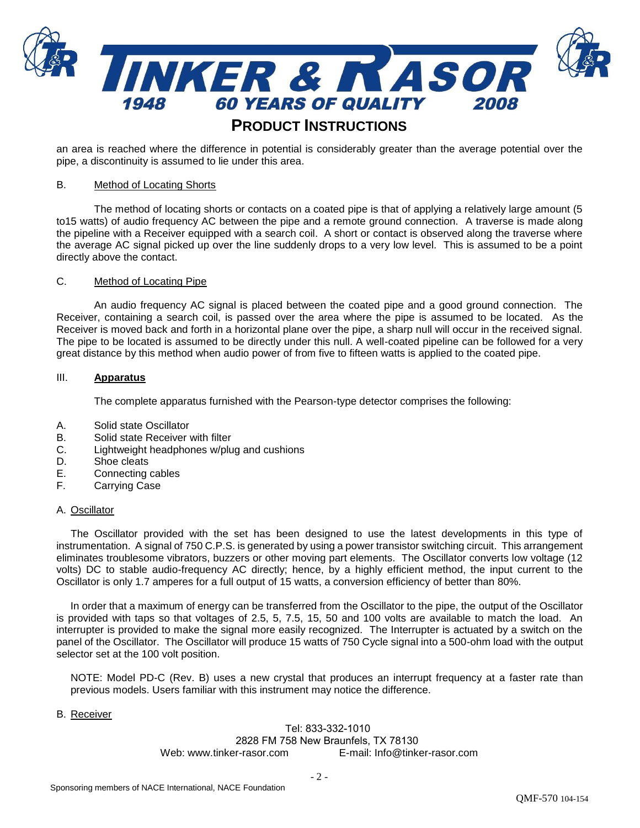

an area is reached where the difference in potential is considerably greater than the average potential over the pipe, a discontinuity is assumed to lie under this area.

#### B. Method of Locating Shorts

The method of locating shorts or contacts on a coated pipe is that of applying a relatively large amount (5 to15 watts) of audio frequency AC between the pipe and a remote ground connection. A traverse is made along the pipeline with a Receiver equipped with a search coil. A short or contact is observed along the traverse where the average AC signal picked up over the line suddenly drops to a very low level. This is assumed to be a point directly above the contact.

#### C. Method of Locating Pipe

An audio frequency AC signal is placed between the coated pipe and a good ground connection. The Receiver, containing a search coil, is passed over the area where the pipe is assumed to be located. As the Receiver is moved back and forth in a horizontal plane over the pipe, a sharp null will occur in the received signal. The pipe to be located is assumed to be directly under this null. A well-coated pipeline can be followed for a very great distance by this method when audio power of from five to fifteen watts is applied to the coated pipe.

#### III. **Apparatus**

The complete apparatus furnished with the Pearson-type detector comprises the following:

- A. Solid state Oscillator
- B. Solid state Receiver with filter
- C. Lightweight headphones w/plug and cushions
- D. Shoe cleats
- E. Connecting cables
- F. Carrying Case

#### A. Oscillator

The Oscillator provided with the set has been designed to use the latest developments in this type of instrumentation. A signal of 750 C.P.S. is generated by using a power transistor switching circuit. This arrangement eliminates troublesome vibrators, buzzers or other moving part elements. The Oscillator converts low voltage (12 volts) DC to stable audio-frequency AC directly; hence, by a highly efficient method, the input current to the Oscillator is only 1.7 amperes for a full output of 15 watts, a conversion efficiency of better than 80%.

 In order that a maximum of energy can be transferred from the Oscillator to the pipe, the output of the Oscillator is provided with taps so that voltages of 2.5, 5, 7.5, 15, 50 and 100 volts are available to match the load. An interrupter is provided to make the signal more easily recognized. The Interrupter is actuated by a switch on the panel of the Oscillator. The Oscillator will produce 15 watts of 750 Cycle signal into a 500-ohm load with the output selector set at the 100 volt position.

NOTE: Model PD-C (Rev. B) uses a new crystal that produces an interrupt frequency at a faster rate than previous models. Users familiar with this instrument may notice the difference.

#### B. Receiver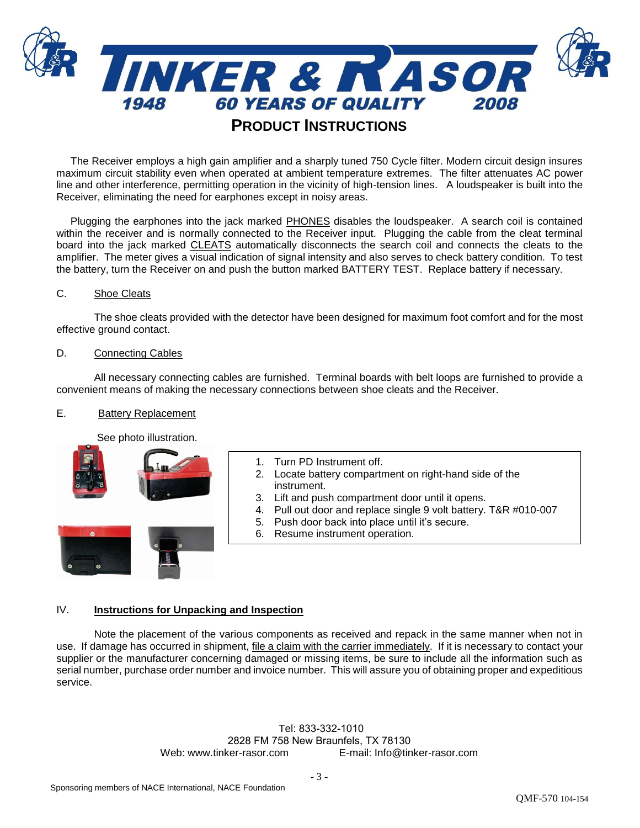

 The Receiver employs a high gain amplifier and a sharply tuned 750 Cycle filter. Modern circuit design insures maximum circuit stability even when operated at ambient temperature extremes. The filter attenuates AC power line and other interference, permitting operation in the vicinity of high-tension lines. A loudspeaker is built into the Receiver, eliminating the need for earphones except in noisy areas.

 Plugging the earphones into the jack marked PHONES disables the loudspeaker. A search coil is contained within the receiver and is normally connected to the Receiver input. Plugging the cable from the cleat terminal board into the jack marked CLEATS automatically disconnects the search coil and connects the cleats to the amplifier. The meter gives a visual indication of signal intensity and also serves to check battery condition. To test the battery, turn the Receiver on and push the button marked BATTERY TEST. Replace battery if necessary.

# C. Shoe Cleats

The shoe cleats provided with the detector have been designed for maximum foot comfort and for the most effective ground contact.

#### D. Connecting Cables

All necessary connecting cables are furnished. Terminal boards with belt loops are furnished to provide a convenient means of making the necessary connections between shoe cleats and the Receiver.

## E. Battery Replacement

See photo illustration.



- 1. Turn PD Instrument off.
- 2. Locate battery compartment on right-hand side of the instrument.
- 3. Lift and push compartment door until it opens.
- 4. Pull out door and replace single 9 volt battery. T&R #010-007
- 5. Push door back into place until it's secure.
- 6. Resume instrument operation.

# IV. **Instructions for Unpacking and Inspection**

Note the placement of the various components as received and repack in the same manner when not in use. If damage has occurred in shipment, file a claim with the carrier immediately. If it is necessary to contact your supplier or the manufacturer concerning damaged or missing items, be sure to include all the information such as serial number, purchase order number and invoice number. This will assure you of obtaining proper and expeditious service.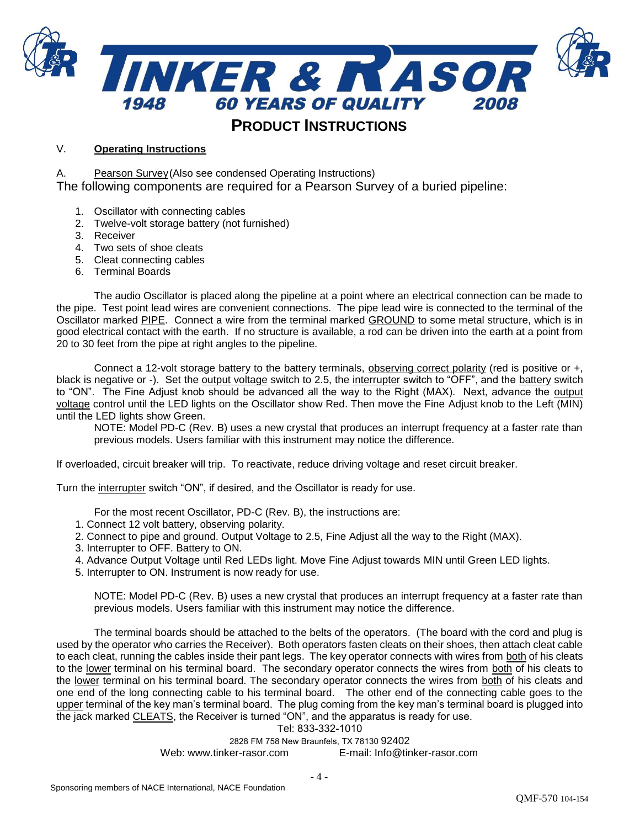

# V. **Operating Instructions**

A. Pearson Survey (Also see condensed Operating Instructions)

The following components are required for a Pearson Survey of a buried pipeline:

- 1. Oscillator with connecting cables
- 2. Twelve-volt storage battery (not furnished)
- 3. Receiver
- 4. Two sets of shoe cleats
- 5. Cleat connecting cables
- 6. Terminal Boards

The audio Oscillator is placed along the pipeline at a point where an electrical connection can be made to the pipe. Test point lead wires are convenient connections. The pipe lead wire is connected to the terminal of the Oscillator marked PIPE. Connect a wire from the terminal marked GROUND to some metal structure, which is in good electrical contact with the earth. If no structure is available, a rod can be driven into the earth at a point from 20 to 30 feet from the pipe at right angles to the pipeline.

Connect a 12-volt storage battery to the battery terminals, observing correct polarity (red is positive or +, black is negative or -). Set the output voltage switch to 2.5, the interrupter switch to "OFF", and the battery switch to "ON". The Fine Adjust knob should be advanced all the way to the Right (MAX). Next, advance the output voltage control until the LED lights on the Oscillator show Red. Then move the Fine Adjust knob to the Left (MIN) until the LED lights show Green.

NOTE: Model PD-C (Rev. B) uses a new crystal that produces an interrupt frequency at a faster rate than previous models. Users familiar with this instrument may notice the difference.

If overloaded, circuit breaker will trip. To reactivate, reduce driving voltage and reset circuit breaker.

Turn the interrupter switch "ON", if desired, and the Oscillator is ready for use.

For the most recent Oscillator, PD-C (Rev. B), the instructions are:

- 1. Connect 12 volt battery, observing polarity.
- 2. Connect to pipe and ground. Output Voltage to 2.5, Fine Adjust all the way to the Right (MAX).
- 3. Interrupter to OFF. Battery to ON.
- 4. Advance Output Voltage until Red LEDs light. Move Fine Adjust towards MIN until Green LED lights.
- 5. Interrupter to ON. Instrument is now ready for use.

NOTE: Model PD-C (Rev. B) uses a new crystal that produces an interrupt frequency at a faster rate than previous models. Users familiar with this instrument may notice the difference.

The terminal boards should be attached to the belts of the operators. (The board with the cord and plug is used by the operator who carries the Receiver). Both operators fasten cleats on their shoes, then attach cleat cable to each cleat, running the cables inside their pant legs. The key operator connects with wires from both of his cleats to the lower terminal on his terminal board. The secondary operator connects the wires from both of his cleats to the lower terminal on his terminal board. The secondary operator connects the wires from both of his cleats and one end of the long connecting cable to his terminal board. The other end of the connecting cable goes to the upper terminal of the key man's terminal board. The plug coming from the key man's terminal board is plugged into the jack marked CLEATS, the Receiver is turned "ON", and the apparatus is ready for use.

Tel: 833-332-1010

2828 FM 758 New Braunfels, TX 78130 92402 Web: www.tinker-rasor.com E-mail: Info@tinker-rasor.com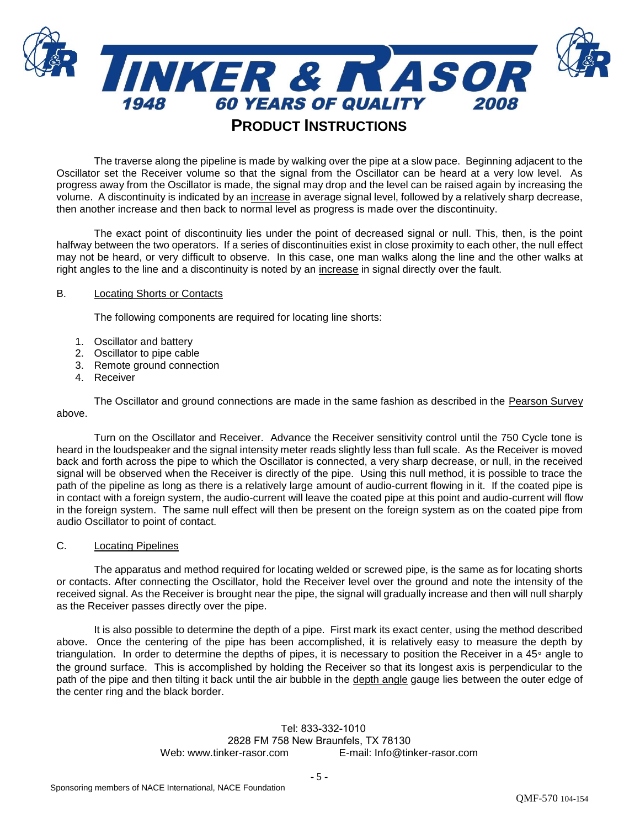

The traverse along the pipeline is made by walking over the pipe at a slow pace. Beginning adjacent to the Oscillator set the Receiver volume so that the signal from the Oscillator can be heard at a very low level. As progress away from the Oscillator is made, the signal may drop and the level can be raised again by increasing the volume. A discontinuity is indicated by an increase in average signal level, followed by a relatively sharp decrease, then another increase and then back to normal level as progress is made over the discontinuity.

The exact point of discontinuity lies under the point of decreased signal or null. This, then, is the point halfway between the two operators. If a series of discontinuities exist in close proximity to each other, the null effect may not be heard, or very difficult to observe. In this case, one man walks along the line and the other walks at right angles to the line and a discontinuity is noted by an increase in signal directly over the fault.

# B. Locating Shorts or Contacts

The following components are required for locating line shorts:

- 1. Oscillator and battery
- 2. Oscillator to pipe cable
- 3. Remote ground connection
- 4. Receiver

The Oscillator and ground connections are made in the same fashion as described in the Pearson Survey above.

Turn on the Oscillator and Receiver. Advance the Receiver sensitivity control until the 750 Cycle tone is heard in the loudspeaker and the signal intensity meter reads slightly less than full scale. As the Receiver is moved back and forth across the pipe to which the Oscillator is connected, a very sharp decrease, or null, in the received signal will be observed when the Receiver is directly of the pipe. Using this null method, it is possible to trace the path of the pipeline as long as there is a relatively large amount of audio-current flowing in it. If the coated pipe is in contact with a foreign system, the audio-current will leave the coated pipe at this point and audio-current will flow in the foreign system. The same null effect will then be present on the foreign system as on the coated pipe from audio Oscillator to point of contact.

# C. Locating Pipelines

The apparatus and method required for locating welded or screwed pipe, is the same as for locating shorts or contacts. After connecting the Oscillator, hold the Receiver level over the ground and note the intensity of the received signal. As the Receiver is brought near the pipe, the signal will gradually increase and then will null sharply as the Receiver passes directly over the pipe.

It is also possible to determine the depth of a pipe. First mark its exact center, using the method described above. Once the centering of the pipe has been accomplished, it is relatively easy to measure the depth by triangulation. In order to determine the depths of pipes, it is necessary to position the Receiver in a 45° angle to the ground surface. This is accomplished by holding the Receiver so that its longest axis is perpendicular to the path of the pipe and then tilting it back until the air bubble in the depth angle gauge lies between the outer edge of the center ring and the black border.